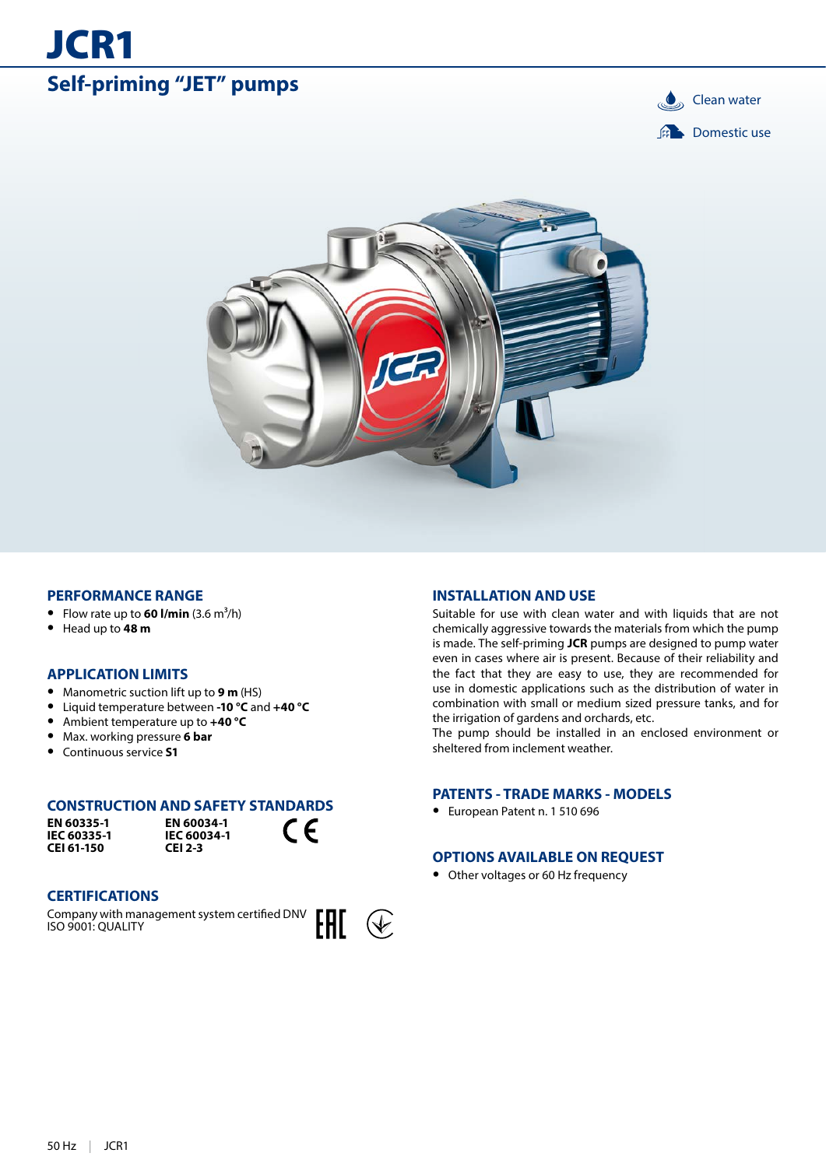# **Self-priming "JET" pumps Clean water**

JCR1





#### **PERFORMANCE RANGE**

- Flow rate up to  $60$  l/min  $(3.6 \text{ m}^3/\text{h})$
- **•** Head up to **48 m**

# **APPLICATION LIMITS**

- **•** Manometric suction lift up to **9 m** (HS)
- **•** Liquid temperature between **-10 °C** and **+40 °C**
- **•** Ambient temperature up to **+40 °C**
- **•** Max. working pressure **6 bar**

# **•** Continuous service **S1**

# **CONSTRUCTION AND SAFETY STANDARDS**

**EN 60335-1 IEC 60335-1 CEI 61-150**

**EN 60034-1 IEC 60034-1 CEI 2-3**



### **CERTIFICATIONS**

Company with management system certified DNV ISO 9001: QUALITY



#### **INSTALLATION AND USE**

Suitable for use with clean water and with liquids that are not chemically aggressive towards the materials from which the pump is made. The self-priming **JCR** pumps are designed to pump water even in cases where air is present. Because of their reliability and the fact that they are easy to use, they are recommended for use in domestic applications such as the distribution of water in combination with small or medium sized pressure tanks, and for the irrigation of gardens and orchards, etc.

The pump should be installed in an enclosed environment or sheltered from inclement weather.

#### **PATENTS - TRADE MARKS - MODELS**

**•** European Patent n. 1 510 696

### **OPTIONS AVAILABLE ON REQUEST**

**•** Other voltages or 60 Hz frequency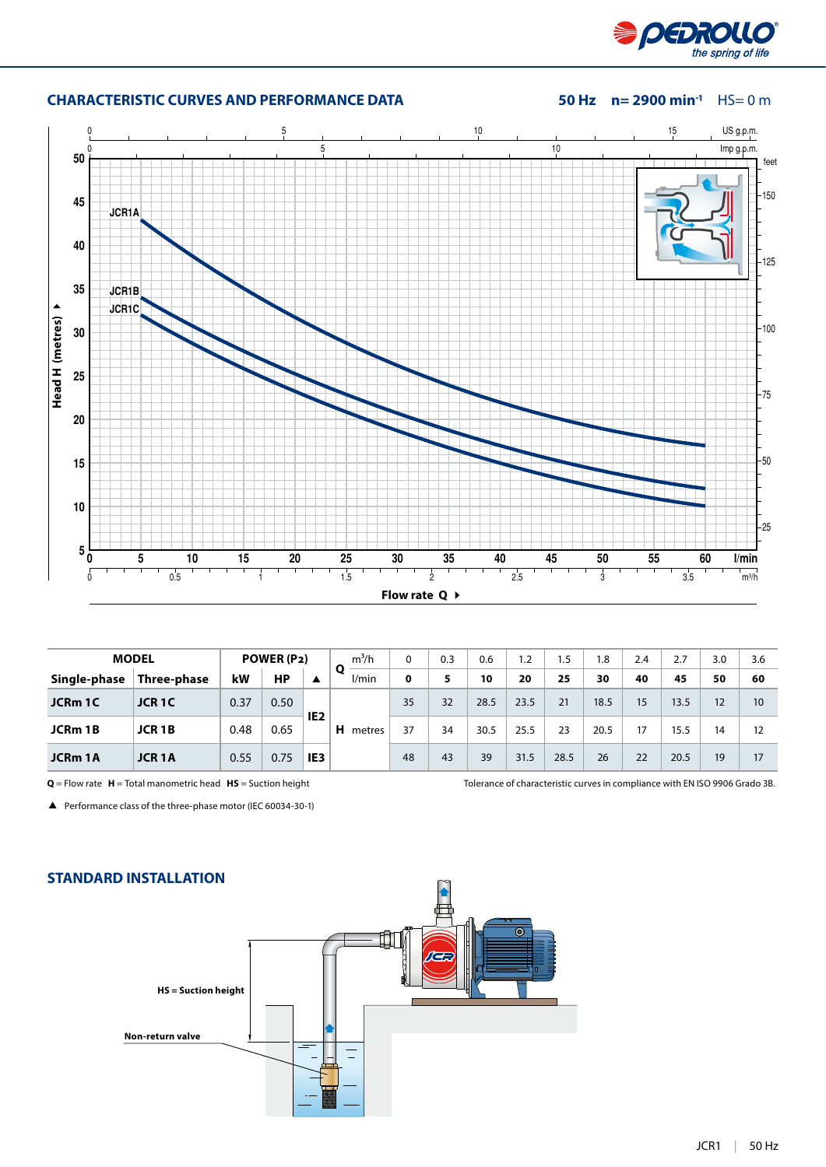

# **CHARACTERISTIC CURVES AND PERFORMANCE DATA 50 Hz n= 2900 min-1** HS= 0 m



| <b>MODEL</b> |                         | POWER (P2) |      | $m^3/h$         | 0            | 0.3 | 0.6 | 1.2  | ۱.5  | 1.8  | 2.4  |    | 3.0  | 3.6 |    |
|--------------|-------------------------|------------|------|-----------------|--------------|-----|-----|------|------|------|------|----|------|-----|----|
| Single-phase | Three-phase             | kW         | НP   | ▲               | Ο<br>1/min   | 0   |     | 10   | 20   | 25   | 30   | 40 | 45   | 50  | 60 |
| JCRm 1C      | JCR <sub>1</sub> C      | 0.37       | 0.50 |                 | н.<br>metres | 35  | 32  | 28.5 | 23.5 | 21   | 18.5 | 15 | 13.5 | 12  | 10 |
| JCRm 1B      | <b>JCR1B</b>            | 0.48       | 0.65 | IE <sub>2</sub> |              | 37  | 34  | 30.5 | 25.5 | 23   | 20.5 | 17 | 15.5 | 14  | 12 |
| JCRm 1A      | <b>JCR<sub>1</sub>A</b> | 0.55       | 0.75 | IE <sub>3</sub> |              | 48  | 43  | 39   | 31.5 | 28.5 | 26   | 22 | 20.5 | 19  | 17 |

**Q** = Flow rate **H** = Total manometric head **HS** = Suction height Tolerance of characteristic curves in compliance with EN ISO 9906 Grado 3B.

Performance class of the three-phase motor (IEC 60034-30-1)

# **STANDARD INSTALLATION**

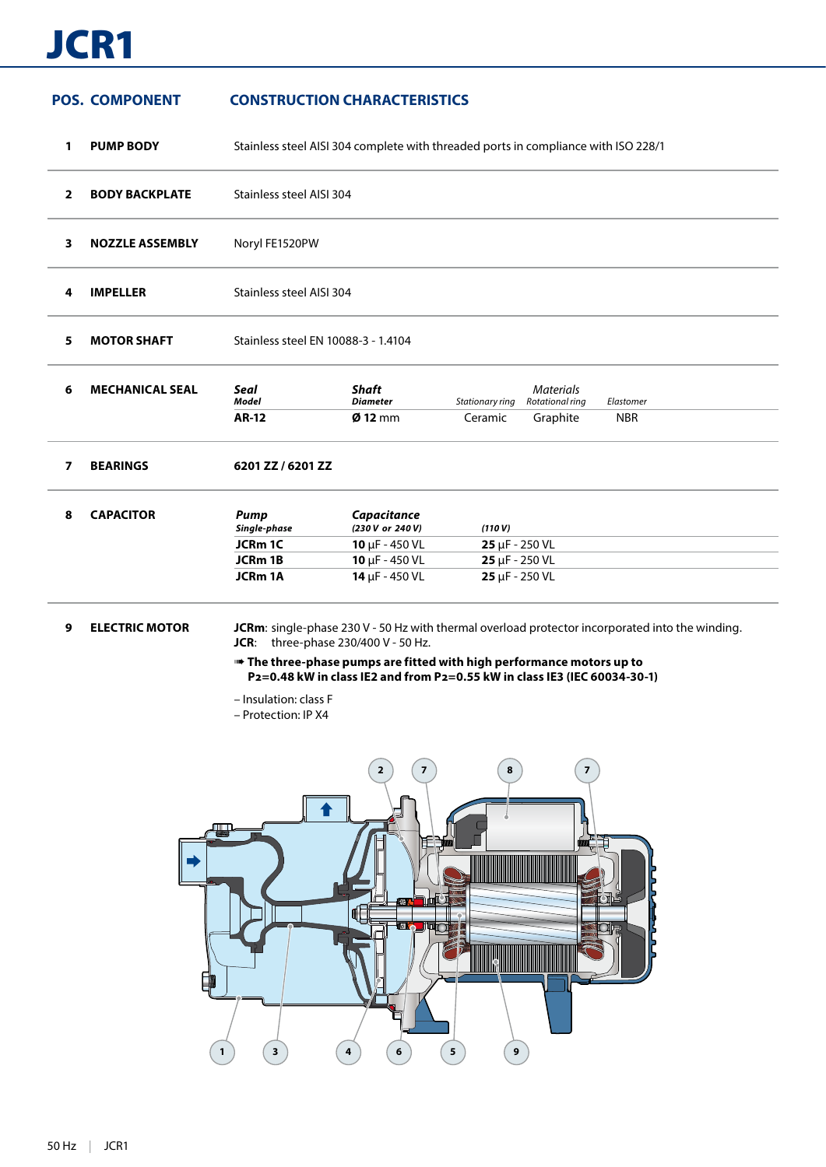# JCR1

# **POS. COMPONENT CONSTRUCTION CHARACTERISTICS**

**1 PUMP BODY** Stainless steel AISI 304 complete with threaded ports in compliance with ISO 228/1 **2 BODY BACKPLATE** Stainless steel AISI 304 **3 NOZZLE ASSEMBLY** Noryl FE1520PW **4 IMPELLER** Stainless steel AISI 304 **5 MOTOR SHAFT** Stainless steel EN 10088-3 - 1.4104 **6 MECHANICAL SEAL** *Seal Shaft Materials Model Diameter Stationary ring Rotational ring Elastomer* **AR-12 Ø 12** mm Ceramic Graphite NBR **7 BEARINGS 6201 ZZ / 6201 ZZ 8 CAPACITOR** *Pump Capacitance Single-phase (230 V or 240 V) (110 V)* **JCRm 1C 10** μF - 450 VL **25** μF - 250 VL **JCRm 1B 10** μF - 450 VL **25** μF - 250 VL **JCRm 1A 14** μF - 450 VL **25** μF - 250 VL

### **9 ELECTRIC MOTOR JCRm**: single-phase 230 V - 50 Hz with thermal overload protector incorporated into the winding. **JCR**: three-phase 230/400 V - 50 Hz.

➠ **The three-phase pumps are fitted with high performance motors up to P2=0.48 kW in class IE2 and from P2=0.55 kW in class IE3 (IEC 60034-30-1)**

- Insulation: class F
- Protection: IP X4